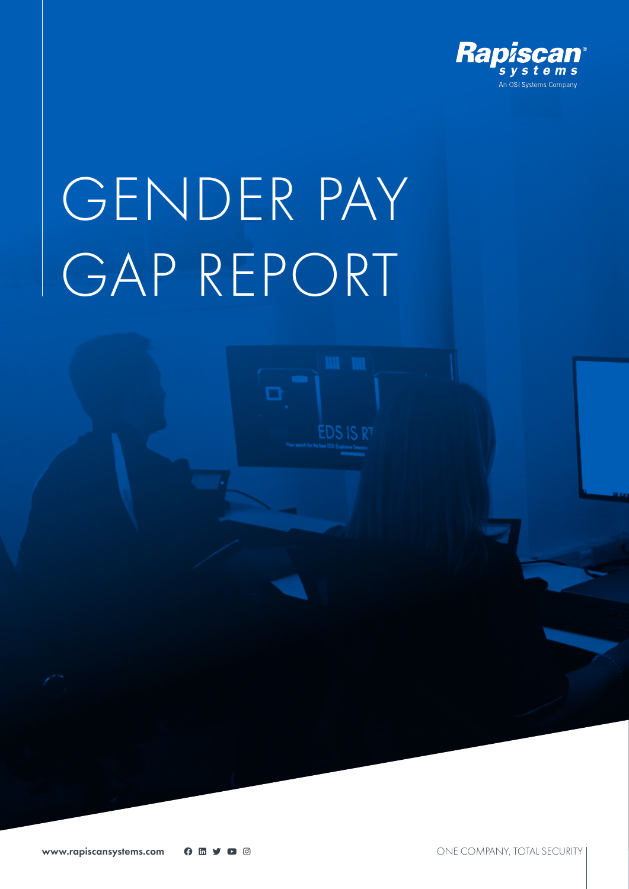

# GENDER PAY GAP REPORT

О

**EDS IS RT**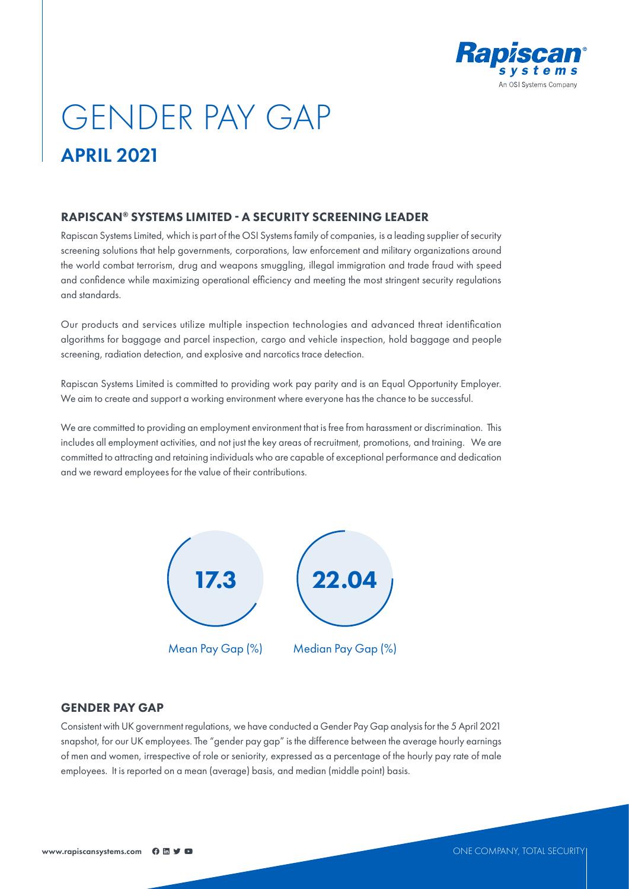

# GENDER PAY GAP APRIL 2021

# RAPISCAN® SYSTEMS LIMITED - A SECURITY SCREENING LEADER

Rapiscan Systems Limited, which is part of the OSI Systems family of companies, is a leading supplier of security screening solutions that help governments, corporations, law enforcement and military organizations around the world combat terrorism, drug and weapons smuggling, illegal immigration and trade fraud with speed and confidence while maximizing operational efficiency and meeting the most stringent security regulations and standards.

Our products and services utilize multiple inspection technologies and advanced threat identification algorithms for baggage and parcel inspection, cargo and vehicle inspection, hold baggage and people screening, radiation detection, and explosive and narcotics trace detection.

Rapiscan Systems Limited is committed to providing work pay parity and is an Equal Opportunity Employer. We aim to create and support a working environment where everyone has the chance to be successful.

We are committed to providing an employment environment that is free from harassment or discrimination. This includes all employment activities, and not just the key areas of recruitment, promotions, and training. We are committed to attracting and retaining individuals who are capable of exceptional performance and dedication and we reward employees for the value of their contributions.



#### GENDER PAY GAP

Consistent with UK government regulations, we have conducted a Gender Pay Gap analysis for the 5 April 2021 snapshot, for our UK employees. The "gender pay gap" is the difference between the average hourly earnings of men and women, irrespective of role or seniority, expressed as a percentage of the hourly pay rate of male employees. It is reported on a mean (average) basis, and median (middle point) basis.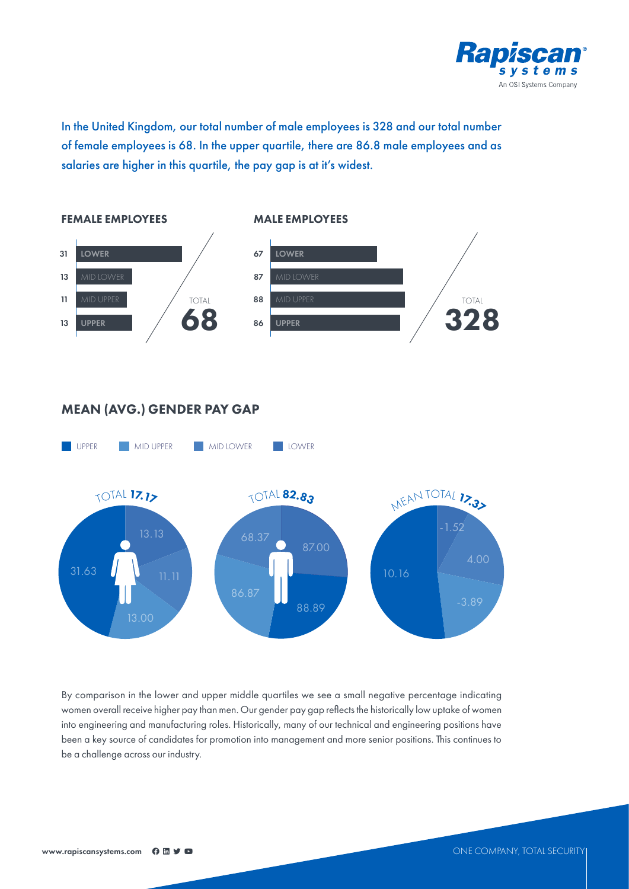

In the United Kingdom, our total number of male employees is 328 and our total number of female employees is 68. In the upper quartile, there are 86.8 male employees and as salaries are higher in this quartile, the pay gap is at it's widest.



# MEAN (AVG.) GENDER PAY GAP



By comparison in the lower and upper middle quartiles we see a small negative percentage indicating women overall receive higher pay than men. Our gender pay gap reflects the historically low uptake of women into engineering and manufacturing roles. Historically, many of our technical and engineering positions have been a key source of candidates for promotion into management and more senior positions. This continues to be a challenge across our industry.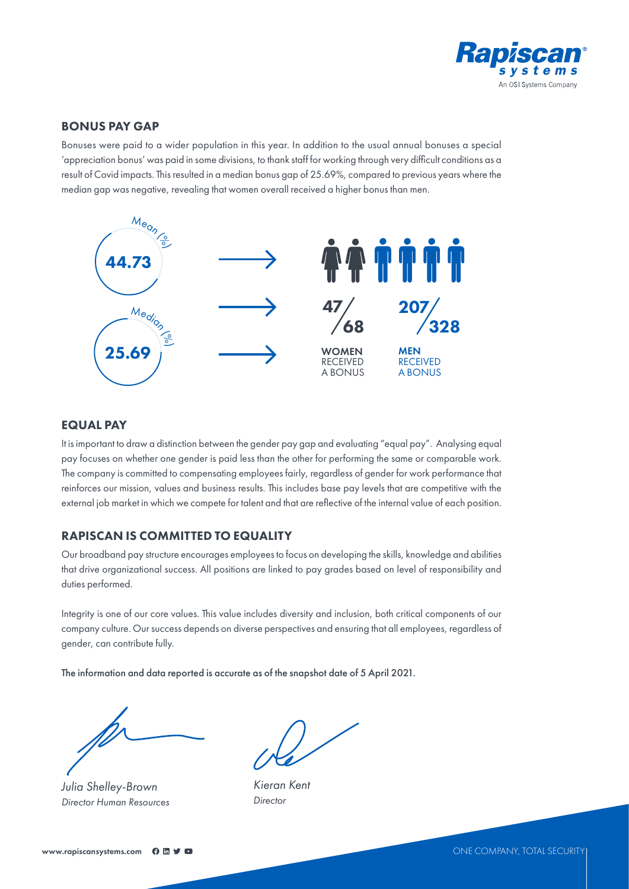

## BONUS PAY GAP

Bonuses were paid to a wider population in this year. In addition to the usual annual bonuses a special 'appreciation bonus' was paid in some divisions, to thank staff for working through very difficult conditions as a result of Covid impacts. This resulted in a median bonus gap of 25.69%, compared to previous years where the median gap was negative, revealing that women overall received a higher bonus than men.



## EQUAL PAY

It is important to draw a distinction between the gender pay gap and evaluating "equal pay". Analysing equal pay focuses on whether one gender is paid less than the other for performing the same or comparable work. The company is committed to compensating employees fairly, regardless of gender for work performance that reinforces our mission, values and business results. This includes base pay levels that are competitive with the external job market in which we compete for talent and that are reflective of the internal value of each position.

# RAPISCAN IS COMMITTED TO EQUALITY

Our broadband pay structure encourages employees to focus on developing the skills, knowledge and abilities that drive organizational success. All positions are linked to pay grades based on level of responsibility and duties performed.

Integrity is one of our core values. This value includes diversity and inclusion, both critical components of our company culture. Our success depends on diverse perspectives and ensuring that all employees, regardless of gender, can contribute fully.

The information and data reported is accurate as of the snapshot date of 5 April 2021.

*Julia Shelley-Brown Director Human Resources*

*Kieran Kent Director*